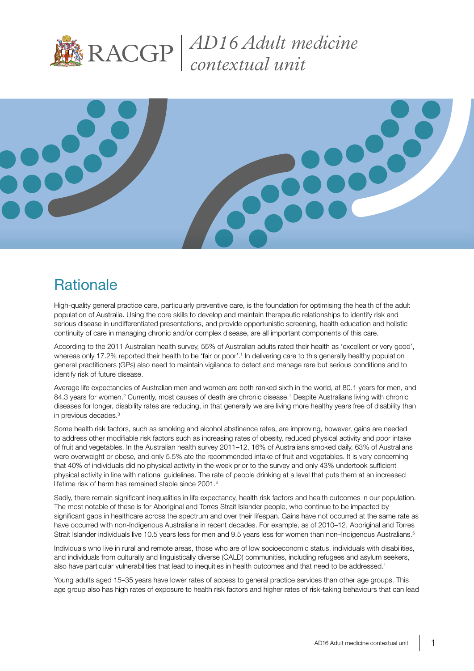

*AD16 Adult medicine contextual unit* 



## **Rationale**

High-quality general practice care, particularly preventive care, is the foundation for optimising the health of the adult population of Australia. Using the core skills to develop and maintain therapeutic relationships to identify risk and serious disease in undifferentiated presentations, and provide opportunistic screening, health education and holistic continuity of care in managing chronic and/or complex disease, are all important components of this care.

According to the 2011 Australian health survey, 55% of Australian adults rated their health as 'excellent or very good', whereas only 17.2% reported their health to be 'fair or poor'.<sup>1</sup> In delivering care to this generally healthy population general practitioners (GPs) also need to maintain vigilance to detect and manage rare but serious conditions and to identify risk of future disease.

Average life expectancies of Australian men and women are both ranked sixth in the world, at 80.1 years for men, and 84.3 years for women.<sup>2</sup> Currently, most causes of death are chronic disease.<sup>1</sup> Despite Australians living with chronic diseases for longer, disability rates are reducing, in that generally we are living more healthy years free of disability than in previous decades.3

Some health risk factors, such as smoking and alcohol abstinence rates, are improving, however, gains are needed to address other modifiable risk factors such as increasing rates of obesity, reduced physical activity and poor intake of fruit and vegetables. In the Australian health survey 2011–12, 16% of Australians smoked daily, 63% of Australians were overweight or obese, and only 5.5% ate the recommended intake of fruit and vegetables. It is very concerning that 40% of individuals did no physical activity in the week prior to the survey and only 43% undertook sufficient physical activity in line with national guidelines. The rate of people drinking at a level that puts them at an increased lifetime risk of harm has remained stable since 2001.<sup>4</sup>

Sadly, there remain significant inequalities in life expectancy, health risk factors and health outcomes in our population. The most notable of these is for Aboriginal and Torres Strait Islander people, who continue to be impacted by significant gaps in healthcare across the spectrum and over their lifespan. Gains have not occurred at the same rate as have occurred with non-Indigenous Australians in recent decades. For example, as of 2010–12, Aboriginal and Torres Strait Islander individuals live 10.5 years less for men and 9.5 years less for women than non–Indigenous Australians.<sup>5</sup>

Individuals who live in rural and remote areas, those who are of low socioeconomic status, individuals with disabilities, and individuals from culturally and linguistically diverse (CALD) communities, including refugees and asylum seekers, also have particular vulnerabilities that lead to inequities in health outcomes and that need to be addressed.<sup>1</sup>

Young adults aged 15–35 years have lower rates of access to general practice services than other age groups. This age group also has high rates of exposure to health risk factors and higher rates of risk-taking behaviours that can lead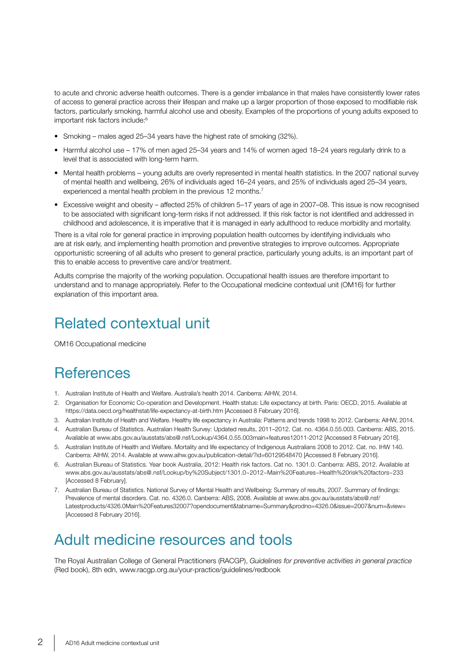to acute and chronic adverse health outcomes. There is a gender imbalance in that males have consistently lower rates of access to general practice across their lifespan and make up a larger proportion of those exposed to modifiable risk factors, particularly smoking, harmful alcohol use and obesity. Examples of the proportions of young adults exposed to important risk factors include:<sup>6</sup>

- Smoking males aged 25–34 years have the highest rate of smoking (32%).
- Harmful alcohol use 17% of men aged 25–34 years and 14% of women aged 18–24 years regularly drink to a level that is associated with long-term harm.
- Mental health problems young adults are overly represented in mental health statistics. In the 2007 national survey of mental health and wellbeing, 26% of individuals aged 16–24 years, and 25% of individuals aged 25–34 years, experienced a mental health problem in the previous 12 months.<sup>7</sup>
- Excessive weight and obesity affected 25% of children 5–17 years of age in 2007–08. This issue is now recognised to be associated with significant long-term risks if not addressed. If this risk factor is not identified and addressed in childhood and adolescence, it is imperative that it is managed in early adulthood to reduce morbidity and mortality.

There is a vital role for general practice in improving population health outcomes by identifying individuals who are at risk early, and implementing health promotion and preventive strategies to improve outcomes. Appropriate opportunistic screening of all adults who present to general practice, particularly young adults, is an important part of this to enable access to preventive care and/or treatment.

Adults comprise the majority of the working population. Occupational health issues are therefore important to understand and to manage appropriately. Refer to the Occupational medicine contextual unit (OM16) for further explanation of this important area.

### Related contextual unit

OM16 Occupational medicine

#### References

- 1. Australian Institute of Health and Welfare. Australia's health 2014. Canberra: AIHW, 2014.
- 2. Organisation for Economic Co-operation and Development. Health status: Life expectancy at birth. Paris: OECD, 2015. Available at https://data.oecd.org/healthstat/life-expectancy-at-birth.htm [Accessed 8 February 2016].
- 3. Australian Institute of Health and Welfare. Healthy life expectancy in Australia: Patterns and trends 1998 to 2012. Canberra: AIHW, 2014.
- 4. Australian Bureau of Statistics. Australian Health Survey: Updated results, 2011–2012. Cat. no. 4364.0.55.003. Canberra: ABS, 2015. Available at www.abs.gov.au/ausstats/abs@.nsf/Lookup/4364.0.55.003main+features12011-2012 [Accessed 8 February 2016].
- 5. Australian Institute of Health and Welfare. Mortality and life expectancy of Indigenous Australians 2008 to 2012. Cat. no. IHW 140. Canberra: AIHW, 2014. Available at www.aihw.gov.au/publication-detail/?id=60129548470 [Accessed 8 February 2016].
- 6. Australian Bureau of Statistics. Year book Australia, 2012: Health risk factors. Cat no. 1301.0. Canberra: ABS, 2012. Available at www.abs.gov.au/ausstats/abs@.nsf/Lookup/by%20Subject/1301.0~2012~Main%20Features~Health%20risk%20factors~233 [Accessed 8 February].
- 7. Australian Bureau of Statistics. National Survey of Mental Health and Wellbeing: Summary of results, 2007. Summary of findings: Prevalence of mental disorders. Cat. no. 4326.0. Canberra: ABS, 2008. Available at www.abs.gov.au/ausstats/abs@.nsf/ Latestproducts/4326.0Main%20Features32007?opendocument&tabname=Summary&prodno=4326.0&issue=2007&num=&view= [Accessed 8 February 2016].

#### Adult medicine resources and tools

The Royal Australian College of General Practitioners (RACGP), *Guidelines for preventive activities in general practice* (Red book), 8th edn, www.racgp.org.au/your-practice/guidelines/redbook